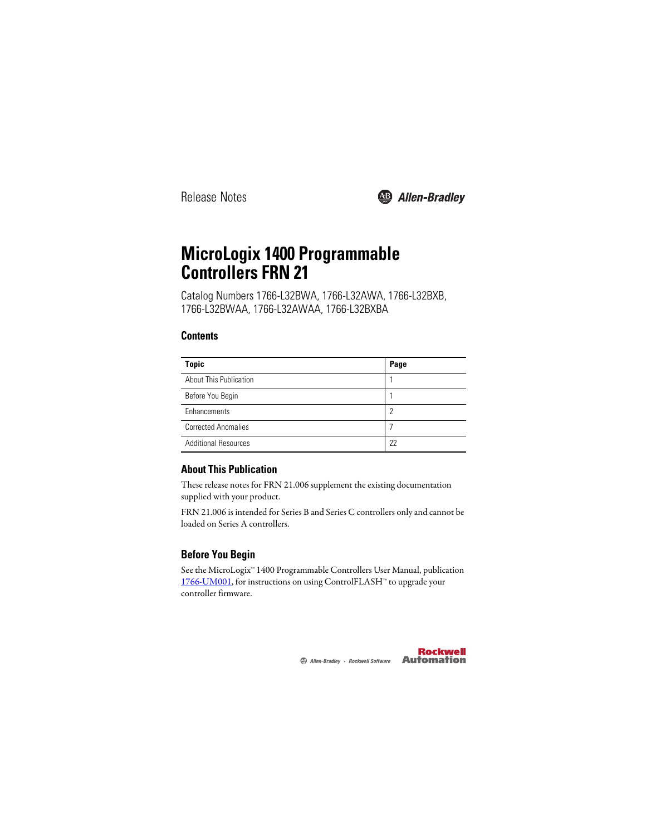

# **MicroLogix 1400 Programmable Controllers FRN 21**

Catalog Numbers 1766-L32BWA, 1766-L32AWA, 1766-L32BXB, 1766-L32BWAA, 1766-L32AWAA, 1766-L32BXBA

# **Contents**

| <b>Topic</b>                  | Page |
|-------------------------------|------|
| <b>About This Publication</b> |      |
| Before You Begin              |      |
| Enhancements                  | っ    |
| <b>Corrected Anomalies</b>    |      |
| <b>Additional Resources</b>   | 22   |

# <span id="page-0-0"></span>**About This Publication**

These release notes for FRN 21.006 supplement the existing documentation supplied with your product.

FRN 21.006 is intended for Series B and Series C controllers only and cannot be loaded on Series A controllers.

# <span id="page-0-1"></span>**Before You Begin**

See the MicroLogix™ 1400 Programmable Controllers User Manual, publication [1766-UM001,](http://literature.rockwellautomation.com/idc/groups/literature/documents/um/1766-um001_-en-p.pdf) for instructions on using ControlFLASH™ to upgrade your controller firmware.

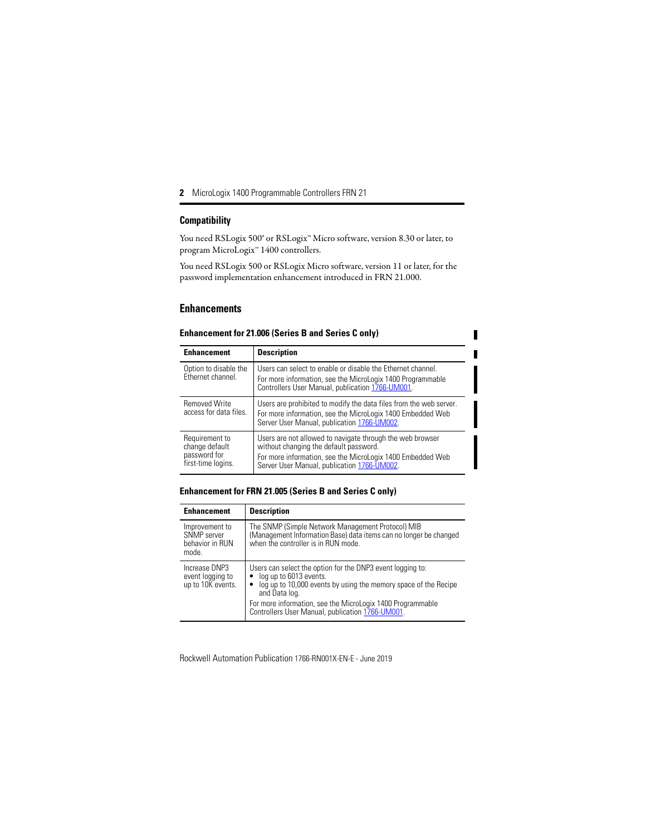#### **Compatibility**

You need RSLogix 500® or RSLogix™ Micro software, version 8.30 or later, to program MicroLogix™ 1400 controllers.

You need RSLogix 500 or RSLogix Micro software, version 11 or later, for the password implementation enhancement introduced in FRN 21.000.

# <span id="page-1-0"></span>**Enhancements**

| <b>Enhancement</b>                                                     | <b>Description</b>                                                                                                                                                                                               |
|------------------------------------------------------------------------|------------------------------------------------------------------------------------------------------------------------------------------------------------------------------------------------------------------|
| Option to disable the<br>Ethernet channel.                             | Users can select to enable or disable the Ethernet channel.<br>For more information, see the MicroLogix 1400 Programmable<br>Controllers User Manual, publication 1766-UM001.                                    |
| <b>Removed Write</b><br>access for data files.                         | Users are prohibited to modify the data files from the web server.<br>For more information, see the MicroLogix 1400 Embedded Web<br>Server User Manual, publication 1766-UM002.                                  |
| Requirement to<br>change default<br>password for<br>first-time logins. | Users are not allowed to navigate through the web browser<br>without changing the default password.<br>For more information, see the MicroLogix 1400 Embedded Web<br>Server User Manual, publication 1766-UM002. |

П

#### **Enhancement for 21.006 (Series B and Series C only)**

#### **Enhancement for FRN 21.005 (Series B and Series C only)**

| <b>Enhancement</b>                                        | <b>Description</b>                                                                                                                                                                                                                                                                              |
|-----------------------------------------------------------|-------------------------------------------------------------------------------------------------------------------------------------------------------------------------------------------------------------------------------------------------------------------------------------------------|
| Improvement to<br>SNMP server<br>behavior in RUN<br>mode. | The SNMP (Simple Network Management Protocol) MIB<br>(Management Information Base) data items can no longer be changed<br>when the controller is in RUN mode.                                                                                                                                   |
| Increase DNP3<br>event logging to<br>up to 10K events.    | Users can select the option for the DNP3 event logging to:<br>log up to 6013 events.<br>log up to 10,000 events by using the memory space of the Recipe<br>٠<br>and Data log.<br>For more information, see the MicroLogix 1400 Programmable<br>Controllers User Manual, publication 1766-UM001. |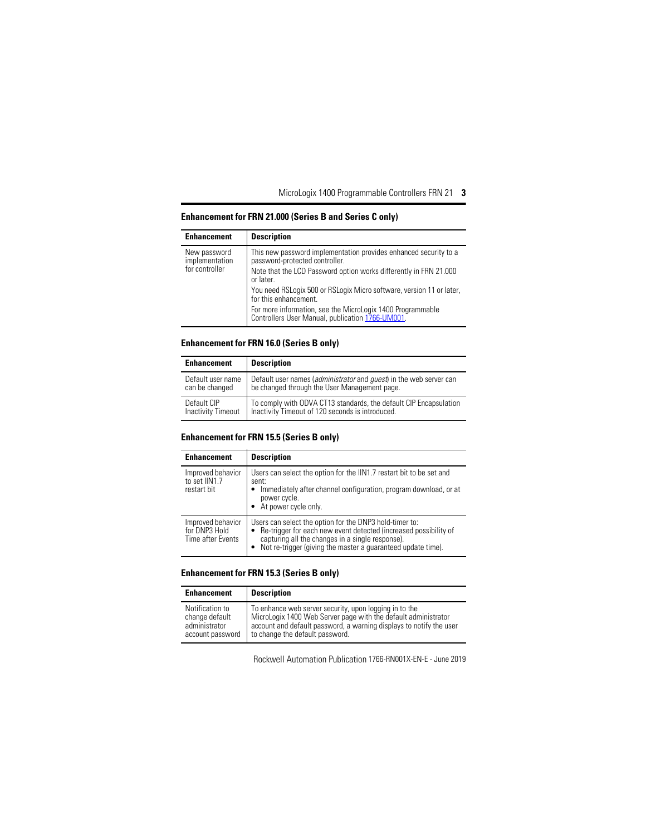#### **Enhancement Description** New password implementation for controller This new password implementation provides enhanced security to a password-protected controller. Note that the LCD Password option works differently in FRN 21.000 or later. You need RSLogix 500 or RSLogix Micro software, version 11 or later, for this enhancement. For more information, see the MicroLogix 1400 Programmable Controllers User Manual, publication [1766-UM001.](http://literature.rockwellautomation.com/idc/groups/literature/documents/um/1766-um001_-en-p.pdf)

#### **Enhancement for FRN 21.000 (Series B and Series C only)**

#### **Enhancement for FRN 16.0 (Series B only)**

| <b>Enhancement</b>        | <b>Description</b>                                                                 |
|---------------------------|------------------------------------------------------------------------------------|
| Default user name         | Default user names ( <i>administrator</i> and <i>quest</i> ) in the web server can |
| can be changed            | be changed through the User Management page.                                       |
| Default CIP               | To comply with ODVA CT13 standards, the default CIP Encapsulation                  |
| <b>Inactivity Timeout</b> | Inactivity Timeout of 120 seconds is introduced.                                   |

#### **Enhancement for FRN 15.5 (Series B only)**

| <b>Enhancement</b>                                      | <b>Description</b>                                                                                                                                                                                                                                           |
|---------------------------------------------------------|--------------------------------------------------------------------------------------------------------------------------------------------------------------------------------------------------------------------------------------------------------------|
| Improved behavior<br>to set IIN1.7<br>restart bit       | Users can select the option for the IIN1.7 restart bit to be set and<br>sent:<br>Immediately after channel configuration, program download, or at<br>power cycle.<br>At power cycle only.                                                                    |
| Improved behavior<br>for DNP3 Hold<br>Time after Events | Users can select the option for the DNP3 hold-timer to:<br>Re-trigger for each new event detected (increased possibility of<br>$\bullet$<br>capturing all the changes in a single response).<br>Not re-trigger (giving the master a quaranteed update time). |

#### **Enhancement for FRN 15.3 (Series B only)**

| Enhancement      | <b>Description</b>                                                  |
|------------------|---------------------------------------------------------------------|
| Notification to  | To enhance web server security, upon logging in to the              |
| change default   | MicroLogix 1400 Web Server page with the default administrator      |
| administrator    | account and default password, a warning displays to notify the user |
| account password | to change the default password.                                     |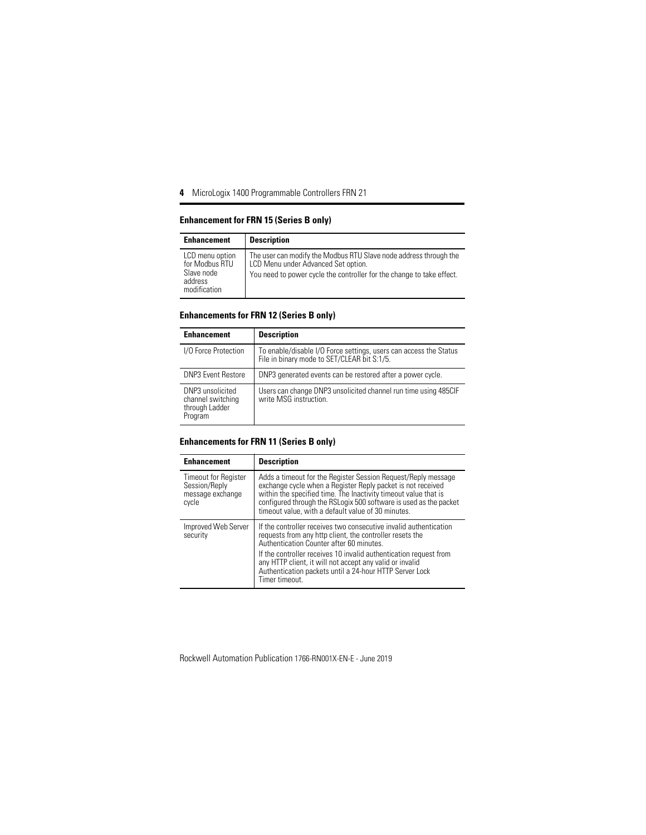#### **Enhancement for FRN 15 (Series B only)**

| <b>Enhancement</b>                                                         | <b>Description</b>                                                                                                                                                                |
|----------------------------------------------------------------------------|-----------------------------------------------------------------------------------------------------------------------------------------------------------------------------------|
| LCD menu option<br>for Modbus RTU<br>Slave node<br>address<br>modification | The user can modify the Modbus RTU Slave node address through the<br>LCD Menu under Advanced Set option.<br>You need to power cycle the controller for the change to take effect. |

### **Enhancements for FRN 12 (Series B only)**

| <b>Enhancement</b>                                                 | <b>Description</b>                                                                                               |
|--------------------------------------------------------------------|------------------------------------------------------------------------------------------------------------------|
| I/O Force Protection                                               | To enable/disable I/O Force settings, users can access the Status<br>File in binary mode to SET/CLEAR bit S:1/5. |
| <b>DNP3 Event Restore</b>                                          | DNP3 generated events can be restored after a power cycle.                                                       |
| DNP3 unsolicited<br>channel switching<br>through Ladder<br>Program | Users can change DNP3 unsolicited channel run time using 485CIF<br>write MSG instruction.                        |

#### **Enhancements for FRN 11 (Series B only)**

| <b>Enhancement</b>                                                        | <b>Description</b>                                                                                                                                                                                                                                                                                                                                                                      |
|---------------------------------------------------------------------------|-----------------------------------------------------------------------------------------------------------------------------------------------------------------------------------------------------------------------------------------------------------------------------------------------------------------------------------------------------------------------------------------|
| <b>Timeout for Register</b><br>Session/Reply<br>message exchange<br>cycle | Adds a timeout for the Register Session Request/Reply message<br>exchange cycle when a Register Reply packet is not received<br>within the specified time. The Inactivity timeout value that is<br>configured through the RSLogix 500 software is used as the packet<br>timeout value, with a default value of 30 minutes.                                                              |
| Improved Web Server<br>security                                           | If the controller receives two consecutive invalid authentication<br>requests from any http client, the controller resets the<br>Authentication Counter after 60 minutes.<br>If the controller receives 10 invalid authentication request from<br>any HTTP client, it will not accept any valid or invalid<br>Authentication packets until a 24-hour HTTP Server Lock<br>Timer timeout. |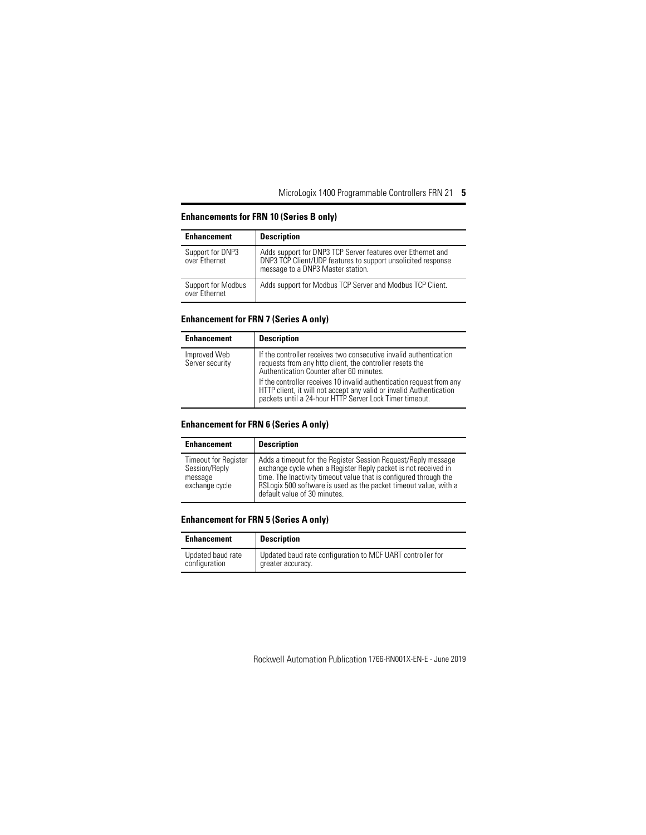| <b>Enhancement</b>                  | <b>Description</b>                                                                                                                                               |
|-------------------------------------|------------------------------------------------------------------------------------------------------------------------------------------------------------------|
| Support for DNP3<br>over Ethernet   | Adds support for DNP3 TCP Server features over Ethernet and<br>DNP3 TCP Client/UDP features to support unsolicited response<br>message to a DNP3 Master station. |
| Support for Modbus<br>over Ethernet | Adds support for Modbus TCP Server and Modbus TCP Client.                                                                                                        |

#### **Enhancements for FRN 10 (Series B only)**

### **Enhancement for FRN 7 (Series A only)**

| <b>Enhancement</b>              | <b>Description</b>                                                                                                                                                                                      |
|---------------------------------|---------------------------------------------------------------------------------------------------------------------------------------------------------------------------------------------------------|
| Improved Web<br>Server security | If the controller receives two consecutive invalid authentication<br>requests from any http client, the controller resets the<br>Authentication Counter after 60 minutes.                               |
|                                 | If the controller receives 10 invalid authentication request from any<br>HTTP client, it will not accept any valid or invalid Authentication<br>packets until a 24-hour HTTP Server Lock Timer timeout. |

#### **Enhancement for FRN 6 (Series A only)**

| <b>Enhancement</b>                                                        | <b>Description</b>                                                                                                                                                                                                                                                                                       |
|---------------------------------------------------------------------------|----------------------------------------------------------------------------------------------------------------------------------------------------------------------------------------------------------------------------------------------------------------------------------------------------------|
| <b>Timeout for Register</b><br>Session/Reply<br>message<br>exchange cycle | Adds a timeout for the Register Session Reguest/Reply message<br>exchange cycle when a Register Reply packet is not received in<br>time. The Inactivity timeout value that is configured through the<br>RSLogix 500 software is used as the packet timeout value, with a<br>default value of 30 minutes. |

#### **Enhancement for FRN 5 (Series A only)**

| <b>Enhancement</b> | <b>Description</b>                                         |
|--------------------|------------------------------------------------------------|
| Updated baud rate  | Updated baud rate configuration to MCF UART controller for |
| configuration      | greater accuracy.                                          |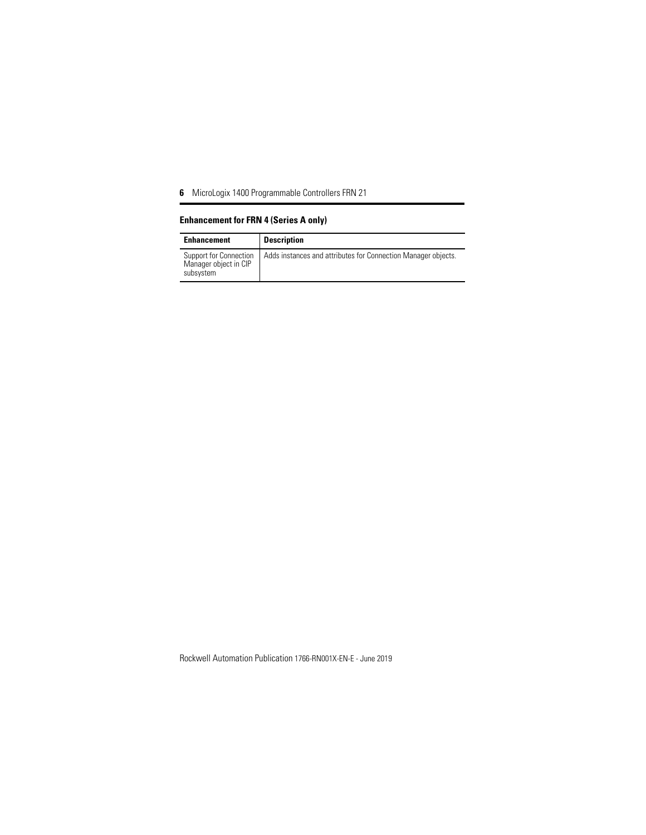# **Enhancement for FRN 4 (Series A only)**

| <b>Enhancement</b>                                           | <b>Description</b>                                            |
|--------------------------------------------------------------|---------------------------------------------------------------|
| Support for Connection<br>Manager object in CIP<br>subsystem | Adds instances and attributes for Connection Manager objects. |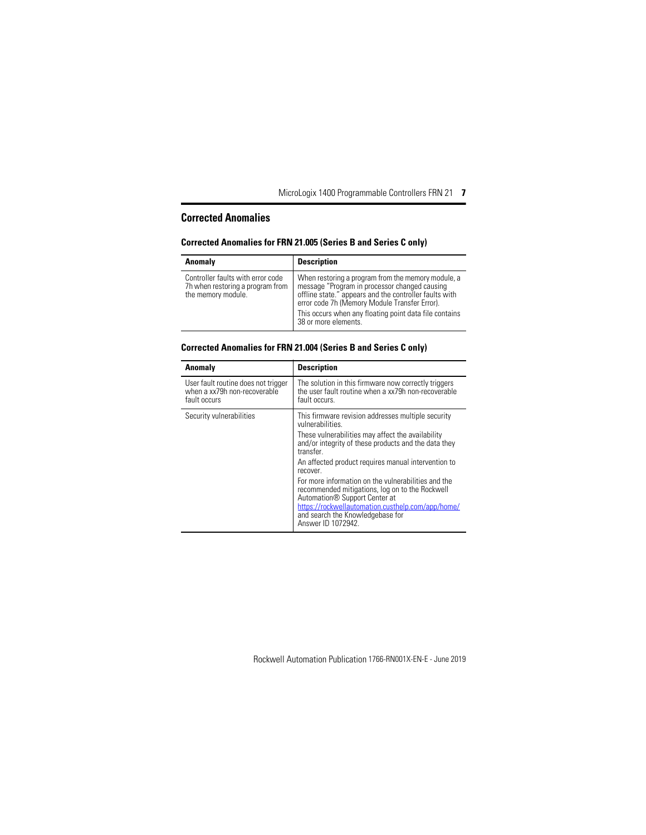# <span id="page-6-0"></span>**Corrected Anomalies**

#### **Corrected Anomalies for FRN 21.005 (Series B and Series C only)**

| Anomaly                                                                                     | <b>Description</b>                                                                                                                                                                                                                                                                               |
|---------------------------------------------------------------------------------------------|--------------------------------------------------------------------------------------------------------------------------------------------------------------------------------------------------------------------------------------------------------------------------------------------------|
| Controller faults with error code<br>7h when restoring a program from<br>the memory module. | When restoring a program from the memory module, a<br>message "Program in processor changed causing<br>offline state." appears and the controller faults with<br>error code 7h (Memory Module Transfer Error).<br>This occurs when any floating point data file contains<br>38 or more elements. |

#### **Corrected Anomalies for FRN 21.004 (Series B and Series C only)**

| Anomaly                                                                             | <b>Description</b>                                                                                                                                                                                                                                                                                                                                                                                                                                                                                                                       |
|-------------------------------------------------------------------------------------|------------------------------------------------------------------------------------------------------------------------------------------------------------------------------------------------------------------------------------------------------------------------------------------------------------------------------------------------------------------------------------------------------------------------------------------------------------------------------------------------------------------------------------------|
| User fault routine does not trigger<br>when a xx79h non-recoverable<br>fault occurs | The solution in this firmware now correctly triggers<br>the user fault routine when a xx79h non-recoverable<br>fault occurs.                                                                                                                                                                                                                                                                                                                                                                                                             |
| Security vulnerabilities                                                            | This firmware revision addresses multiple security<br>vulnerabilities.<br>These vulnerabilities may affect the availability<br>and/or integrity of these products and the data they<br>transfer<br>An affected product requires manual intervention to<br>recover.<br>For more information on the vulnerabilities and the<br>recommended mitigations, log on to the Rockwell<br>Automation <sup>®</sup> Support Center at<br>https://rockwellautomation.custhelp.com/app/home/<br>and search the Knowledgebase for<br>Answer ID 1072942. |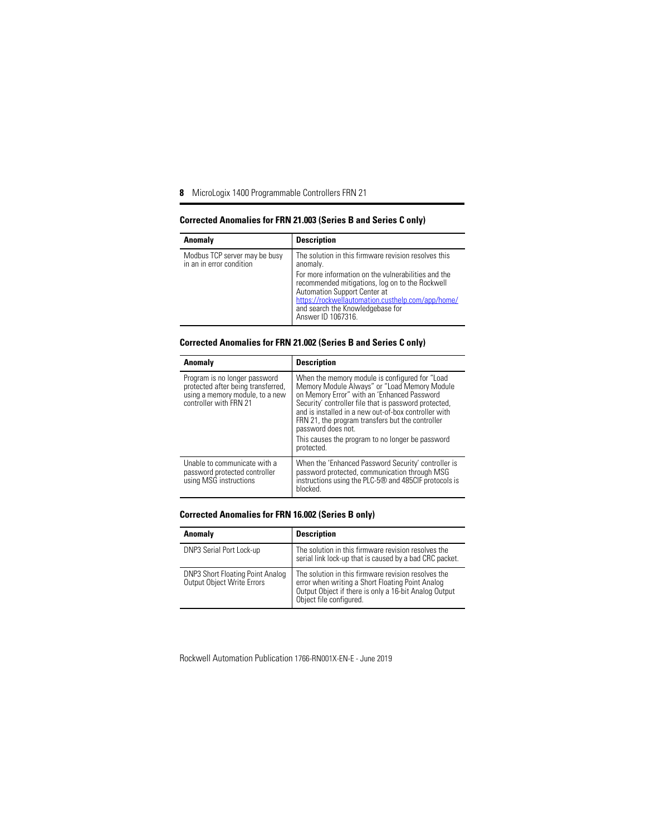#### **Corrected Anomalies for FRN 21.003 (Series B and Series C only)**

| Anomaly                                                   | <b>Description</b>                                                                                                                                                                                                                                                                                                        |
|-----------------------------------------------------------|---------------------------------------------------------------------------------------------------------------------------------------------------------------------------------------------------------------------------------------------------------------------------------------------------------------------------|
| Modbus TCP server may be busy<br>in an in error condition | The solution in this firmware revision resolves this<br>anomaly.<br>For more information on the vulnerabilities and the<br>recommended mitigations, log on to the Rockwell<br>Automation Support Center at<br>https://rockwellautomation.custhelp.com/app/home/<br>and search the Knowledgebase for<br>Answer ID 1067316. |

#### **Corrected Anomalies for FRN 21.002 (Series B and Series C only)**

| Anomaly                                                                                                                          | <b>Description</b>                                                                                                                                                                                                                                                                                                                                                                                         |
|----------------------------------------------------------------------------------------------------------------------------------|------------------------------------------------------------------------------------------------------------------------------------------------------------------------------------------------------------------------------------------------------------------------------------------------------------------------------------------------------------------------------------------------------------|
| Program is no longer password<br>protected after being transferred,<br>using a memory module, to a new<br>controller with FRN 21 | When the memory module is configured for "Load<br>Memory Module Always" or "Load Memory Module<br>on Memory Error" with an 'Enhanced Password<br>Security' controller file that is password protected,<br>and is installed in a new out-of-box controller with<br>FRN 21, the program transfers but the controller<br>password does not.<br>This causes the program to no longer be password<br>protected. |
| Unable to communicate with a<br>password protected controller<br>using MSG instructions                                          | When the 'Enhanced Password Security' controller is<br>password protected, communication through MSG<br>instructions using the PLC-5® and 485CIF protocols is<br>blocked.                                                                                                                                                                                                                                  |

#### **Corrected Anomalies for FRN 16.002 (Series B only)**

| Anomaly                                                                      | <b>Description</b>                                                                                                                                                                          |
|------------------------------------------------------------------------------|---------------------------------------------------------------------------------------------------------------------------------------------------------------------------------------------|
| DNP3 Serial Port Lock-up                                                     | The solution in this firmware revision resolves the<br>serial link lock-up that is caused by a bad CRC packet.                                                                              |
| <b>DNP3 Short Floating Point Analog</b><br><b>Output Object Write Errors</b> | The solution in this firmware revision resolves the<br>error when writing a Short Floating Point Analog<br>Output Object if there is only a 16-bit Analog Output<br>Object file configured. |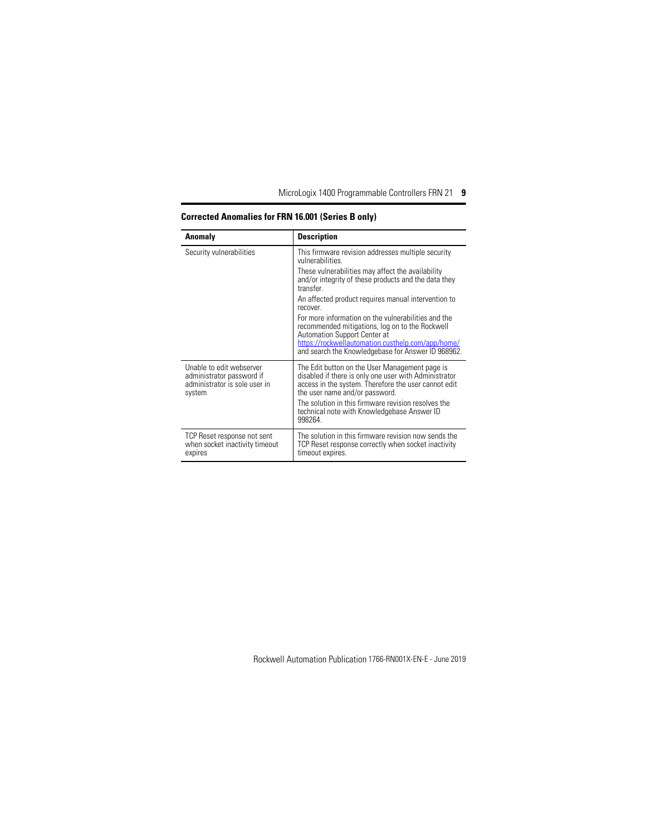| Anomaly                                                                                          | <b>Description</b>                                                                                                                                                                                                                                                                                                                                                                                                                                                                                                             |
|--------------------------------------------------------------------------------------------------|--------------------------------------------------------------------------------------------------------------------------------------------------------------------------------------------------------------------------------------------------------------------------------------------------------------------------------------------------------------------------------------------------------------------------------------------------------------------------------------------------------------------------------|
| Security vulnerabilities                                                                         | This firmware revision addresses multiple security<br>vulnerabilities.<br>These vulnerabilities may affect the availability<br>and/or integrity of these products and the data they<br>transfer<br>An affected product requires manual intervention to<br>recover.<br>For more information on the vulnerabilities and the<br>recommended mitigations, log on to the Rockwell<br><b>Automation Support Center at</b><br>https://rockwellautomation.custhelp.com/app/home/<br>and search the Knowledgebase for Answer ID 968962. |
| Unable to edit webserver<br>administrator password if<br>administrator is sole user in<br>system | The Edit button on the User Management page is<br>disabled if there is only one user with Administrator<br>access in the system. Therefore the user cannot edit<br>the user name and/or password.<br>The solution in this firmware revision resolves the<br>technical note with Knowledgebase Answer ID<br>998264                                                                                                                                                                                                              |
| TCP Reset response not sent<br>when socket inactivity timeout<br>expires                         | The solution in this firmware revision now sends the<br>TCP Reset response correctly when socket inactivity<br>timeout expires.                                                                                                                                                                                                                                                                                                                                                                                                |

# **Corrected Anomalies for FRN 16.001 (Series B only)**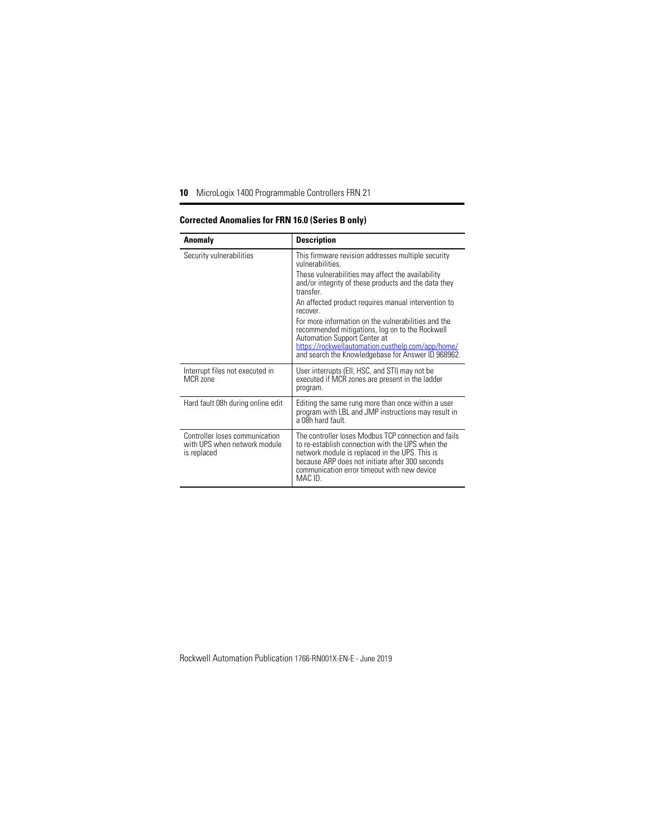| Anomaly                                                                       | <b>Description</b>                                                                                                                                                                                                                                                                                                       |
|-------------------------------------------------------------------------------|--------------------------------------------------------------------------------------------------------------------------------------------------------------------------------------------------------------------------------------------------------------------------------------------------------------------------|
| Security vulnerabilities                                                      | This firmware revision addresses multiple security<br>vulnerabilities<br>These vulnerabilities may affect the availability<br>and/or integrity of these products and the data they<br>transfer<br>An affected product requires manual intervention to<br>recover.<br>For more information on the vulnerabilities and the |
|                                                                               | recommended mitigations, log on to the Rockwell<br><b>Automation Support Center at</b><br>https://rockwellautomation.custhelp.com/app/home/<br>and search the Knowledgebase for Answer ID 968962.                                                                                                                        |
| Interrupt files not executed in<br>MCR zone                                   | User interrupts (Ell, HSC, and STI) may not be<br>executed if MCR zones are present in the ladder<br>program.                                                                                                                                                                                                            |
| Hard fault 08h during online edit                                             | Editing the same rung more than once within a user<br>program with LBL and JMP instructions may result in<br>a 08h hard fault.                                                                                                                                                                                           |
| Controller loses communication<br>with UPS when network module<br>is replaced | The controller loses Modbus TCP connection and fails<br>to re-establish connection with the UPS when the<br>network module is replaced in the UPS. This is<br>because ARP does not initiate after 300 seconds<br>communication error timeout with new device<br>MAC ID.                                                  |

### **Corrected Anomalies for FRN 16.0 (Series B only)**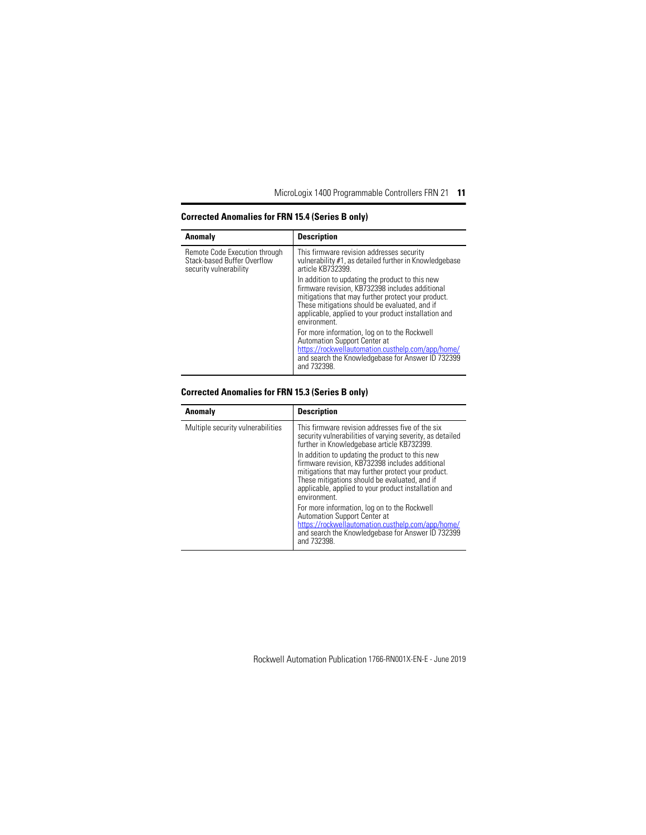| Anomaly                                                                                | <b>Description</b>                                                                                                                                                                                                                                                                |
|----------------------------------------------------------------------------------------|-----------------------------------------------------------------------------------------------------------------------------------------------------------------------------------------------------------------------------------------------------------------------------------|
| Remote Code Execution through<br>Stack-based Buffer Overflow<br>security vulnerability | This firmware revision addresses security<br>vulnerability #1, as detailed further in Knowledgebase<br>article KB732399.                                                                                                                                                          |
|                                                                                        | In addition to updating the product to this new<br>firmware revision, KB732398 includes additional<br>mitigations that may further protect your product.<br>These mitigations should be evaluated, and if<br>applicable, applied to your product installation and<br>environment. |
|                                                                                        | For more information, log on to the Rockwell<br>Automation Support Center at<br>https://rockwellautomation.custhelp.com/app/home/<br>and search the Knowledgebase for Answer ID 732399<br>and 732398.                                                                             |

#### **Corrected Anomalies for FRN 15.4 (Series B only)**

#### **Corrected Anomalies for FRN 15.3 (Series B only)**

| Anomaly                           | <b>Description</b>                                                                                                                                                                                                                                                                |
|-----------------------------------|-----------------------------------------------------------------------------------------------------------------------------------------------------------------------------------------------------------------------------------------------------------------------------------|
| Multiple security vulnerabilities | This firmware revision addresses five of the six<br>security vulnerabilities of varying severity, as detailed<br>further in Knowledgebase article KB732399.                                                                                                                       |
|                                   | In addition to updating the product to this new<br>firmware revision, KB732398 includes additional<br>mitigations that may further protect your product.<br>These mitigations should be evaluated, and if<br>applicable, applied to your product installation and<br>environment. |
|                                   | For more information, log on to the Rockwell<br>Automation Support Center at<br>https://rockwellautomation.custhelp.com/app/home/<br>and search the Knowledgebase for Answer ID 732399<br>and 732398.                                                                             |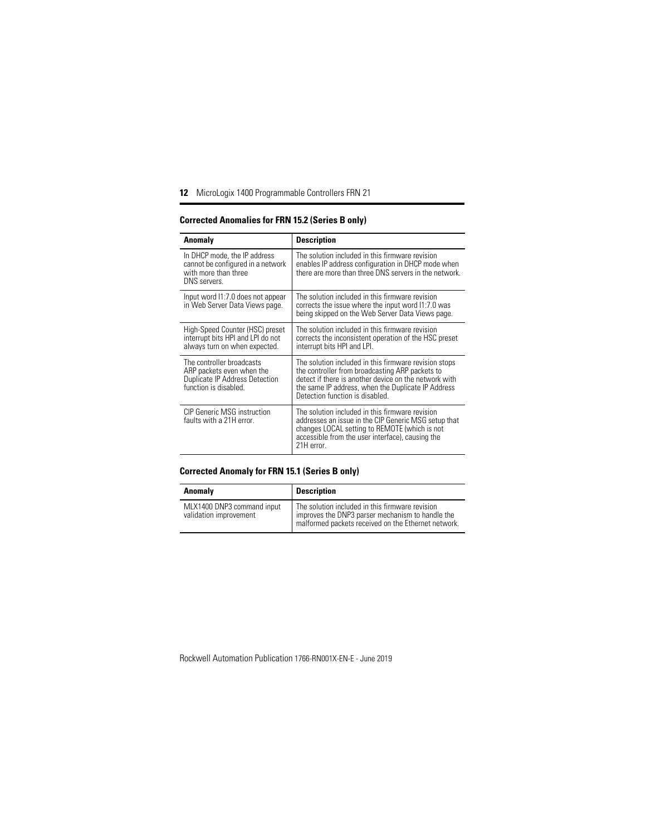| Anomaly                                                                                                           | Description                                                                                                                                                                                                                                                |
|-------------------------------------------------------------------------------------------------------------------|------------------------------------------------------------------------------------------------------------------------------------------------------------------------------------------------------------------------------------------------------------|
| In DHCP mode, the IP address<br>cannot be configured in a network<br>with more than three<br>DNS servers.         | The solution included in this firmware revision<br>enables IP address configuration in DHCP mode when<br>there are more than three DNS servers in the network.                                                                                             |
| Input word 11:7.0 does not appear<br>in Web Server Data Views page.                                               | The solution included in this firmware revision<br>corrects the issue where the input word 11:7.0 was<br>being skipped on the Web Server Data Views page.                                                                                                  |
| High-Speed Counter (HSC) preset<br>interrupt bits HPI and LPI do not<br>always turn on when expected.             | The solution included in this firmware revision<br>corrects the inconsistent operation of the HSC preset<br>interrupt bits HPI and LPI.                                                                                                                    |
| The controller broadcasts<br>ARP packets even when the<br>Duplicate IP Address Detection<br>function is disabled. | The solution included in this firmware revision stops<br>the controller from broadcasting ARP packets to<br>detect if there is another device on the network with<br>the same IP address, when the Duplicate IP Address<br>Detection function is disabled. |
| CIP Generic MSG instruction<br>faults with a 21H error.                                                           | The solution included in this firmware revision<br>addresses an issue in the CIP Generic MSG setup that<br>changes LOCAL setting to REMOTE (which is not<br>accessible from the user interface), causing the<br>21H error.                                 |

#### **Corrected Anomalies for FRN 15.2 (Series B only)**

#### **Corrected Anomaly for FRN 15.1 (Series B only)**

| Anomaly                                              | <b>Description</b>                                                                                                                                         |
|------------------------------------------------------|------------------------------------------------------------------------------------------------------------------------------------------------------------|
| MLX1400 DNP3 command input<br>validation improvement | The solution included in this firmware revision<br>improves the DNP3 parser mechanism to handle the<br>malformed packets received on the Ethernet network. |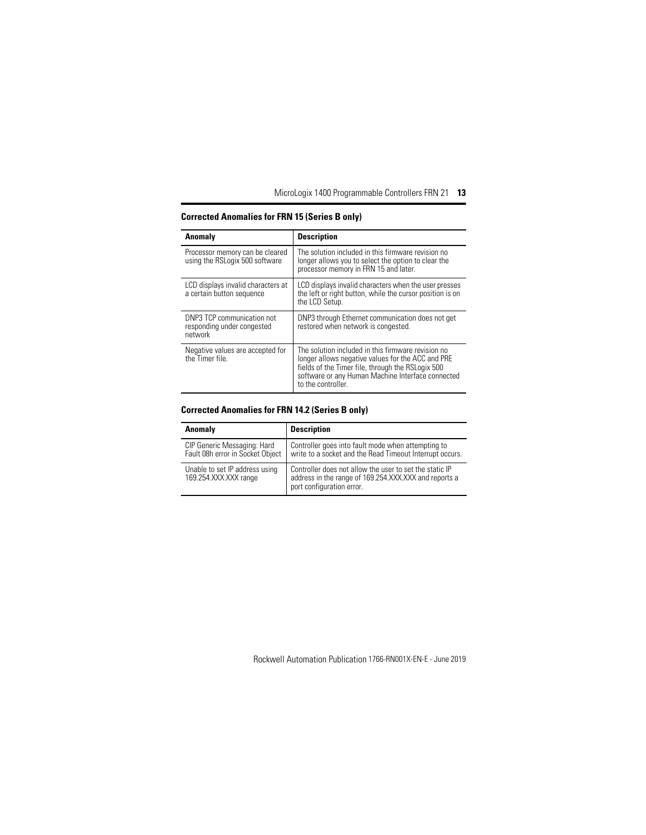| Anomaly                                                             | <b>Description</b>                                                                                                                                                                                                                      |
|---------------------------------------------------------------------|-----------------------------------------------------------------------------------------------------------------------------------------------------------------------------------------------------------------------------------------|
| Processor memory can be cleared<br>using the RSLogix 500 software   | The solution included in this firmware revision no<br>longer allows you to select the option to clear the<br>processor memory in FRN 15 and later.                                                                                      |
| LCD displays invalid characters at<br>a certain button sequence     | LCD displays invalid characters when the user presses<br>the left or right button, while the cursor position is on<br>the LCD Setup.                                                                                                    |
| DNP3 TCP communication not<br>responding under congested<br>network | DNP3 through Ethernet communication does not get<br>restored when network is congested.                                                                                                                                                 |
| Negative values are accepted for<br>the Timer file.                 | The solution included in this firmware revision no<br>longer allows negative values for the ACC and PRE<br>fields of the Timer file, through the RSLogix 500<br>software or any Human Machine Interface connected<br>to the controller. |

### **Corrected Anomalies for FRN 15 (Series B only)**

#### **Corrected Anomalies for FRN 14.2 (Series B only)**

| Anomaly                                                         | <b>Description</b>                                                                                                                            |
|-----------------------------------------------------------------|-----------------------------------------------------------------------------------------------------------------------------------------------|
| CIP Generic Messaging: Hard<br>Fault 08h error in Socket Object | Controller goes into fault mode when attempting to<br>write to a socket and the Read Timeout Interrupt occurs.                                |
| Unable to set IP address using<br>169.254.XXX.XXX range         | Controller does not allow the user to set the static IP<br>address in the range of 169.254.XXX.XXX and reports a<br>port configuration error. |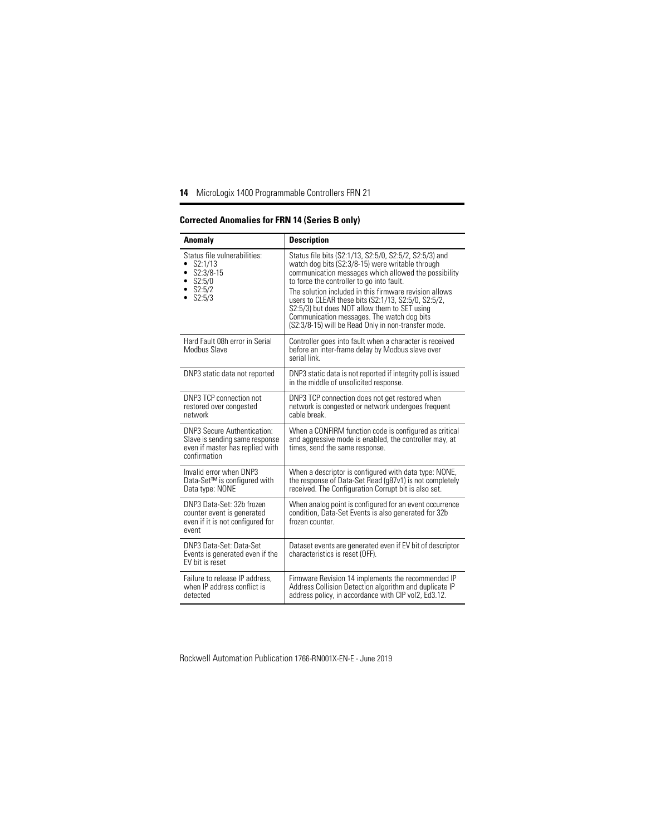| Anomaly                                                                                                                 | <b>Description</b>                                                                                                                                                                                                                                                                                                                                                                                                                                                                    |
|-------------------------------------------------------------------------------------------------------------------------|---------------------------------------------------------------------------------------------------------------------------------------------------------------------------------------------------------------------------------------------------------------------------------------------------------------------------------------------------------------------------------------------------------------------------------------------------------------------------------------|
| Status file vulnerabilities:<br>S2:1/13<br>$S2:3/8-15$<br>S2:5/0<br>S2:5/2<br>S2:5/3                                    | Status file bits (S2:1/13, S2:5/0, S2:5/2, S2:5/3) and<br>watch dog bits (S2:3/8-15) were writable through<br>communication messages which allowed the possibility<br>to force the controller to go into fault.<br>The solution included in this firmware revision allows<br>users to CLEAR these bits (S2:1/13, S2:5/0, S2:5/2,<br>S2:5/3) but does NOT allow them to SET using<br>Communication messages. The watch dog bits<br>(S2:3/8-15) will be Read Only in non-transfer mode. |
| Hard Fault 08h error in Serial<br>Modbus Slave                                                                          | Controller goes into fault when a character is received<br>before an inter-frame delay by Modbus slave over<br>serial link                                                                                                                                                                                                                                                                                                                                                            |
| DNP3 static data not reported                                                                                           | DNP3 static data is not reported if integrity poll is issued<br>in the middle of unsolicited response.                                                                                                                                                                                                                                                                                                                                                                                |
| DNP3 TCP connection not<br>restored over congested<br>network                                                           | DNP3 TCP connection does not get restored when<br>network is congested or network undergoes frequent<br>cable break.                                                                                                                                                                                                                                                                                                                                                                  |
| <b>DNP3 Secure Authentication:</b><br>Slave is sending same response<br>even if master has replied with<br>confirmation | When a CONFIRM function code is configured as critical<br>and aggressive mode is enabled, the controller may, at<br>times, send the same response.                                                                                                                                                                                                                                                                                                                                    |
| Invalid error when DNP3<br>Data-Set™ is configured with<br>Data type: NONE                                              | When a descriptor is configured with data type: NONE,<br>the response of Data-Set Read (g87v1) is not completely<br>received. The Configuration Corrupt bit is also set.                                                                                                                                                                                                                                                                                                              |
| DNP3 Data-Set: 32b frozen<br>counter event is generated<br>even if it is not configured for<br>event                    | When analog point is configured for an event occurrence<br>condition, Data-Set Events is also generated for 32b<br>frozen counter.                                                                                                                                                                                                                                                                                                                                                    |
| DNP3 Data-Set: Data-Set<br>Events is generated even if the<br>EV bit is reset                                           | Dataset events are generated even if EV bit of descriptor<br>characteristics is reset (OFF).                                                                                                                                                                                                                                                                                                                                                                                          |
| Failure to release IP address.<br>when IP address conflict is<br>detected                                               | Firmware Revision 14 implements the recommended IP<br>Address Collision Detection algorithm and duplicate IP<br>address policy, in accordance with CIP vol2, Ed3.12.                                                                                                                                                                                                                                                                                                                  |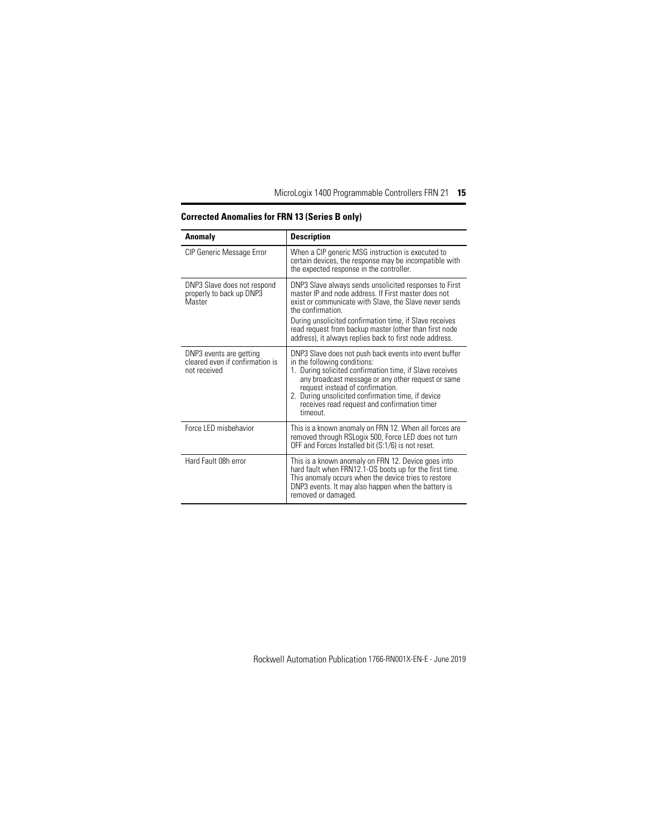| Anomaly                                                                    | <b>Description</b>                                                                                                                                                                                                                                                                                                                                                           |
|----------------------------------------------------------------------------|------------------------------------------------------------------------------------------------------------------------------------------------------------------------------------------------------------------------------------------------------------------------------------------------------------------------------------------------------------------------------|
| <b>CIP Generic Message Error</b>                                           | When a CIP generic MSG instruction is executed to<br>certain devices, the response may be incompatible with<br>the expected response in the controller.                                                                                                                                                                                                                      |
| DNP3 Slave does not respond<br>properly to back up DNP3<br>Master          | DNP3 Slave always sends unsolicited responses to First<br>master IP and node address. If First master does not<br>exist or communicate with Slave, the Slave never sends<br>the confirmation<br>During unsolicited confirmation time, if Slave receives<br>read request from backup master (other than first node<br>address), it always replies back to first node address. |
| DNP3 events are getting<br>cleared even if confirmation is<br>not received | DNP3 Slave does not push back events into event buffer<br>in the following conditions:<br>1. During solicited confirmation time, if Slave receives<br>any broadcast message or any other request or same<br>request instead of confirmation.<br>2. During unsolicited confirmation time, if device<br>receives read request and confirmation timer<br>timeout.               |
| Force LED misbehavior                                                      | This is a known anomaly on FRN 12. When all forces are<br>removed through RSLogix 500, Force LED does not turn<br>OFF and Forces Installed bit (S:1/6) is not reset.                                                                                                                                                                                                         |
| Hard Fault 08h error                                                       | This is a known anomaly on FRN 12. Device goes into<br>hard fault when FRN12.1-OS boots up for the first time.<br>This anomaly occurs when the device tries to restore<br>DNP3 events. It may also happen when the battery is<br>removed or damaged.                                                                                                                         |

#### **Corrected Anomalies for FRN 13 (Series B only)**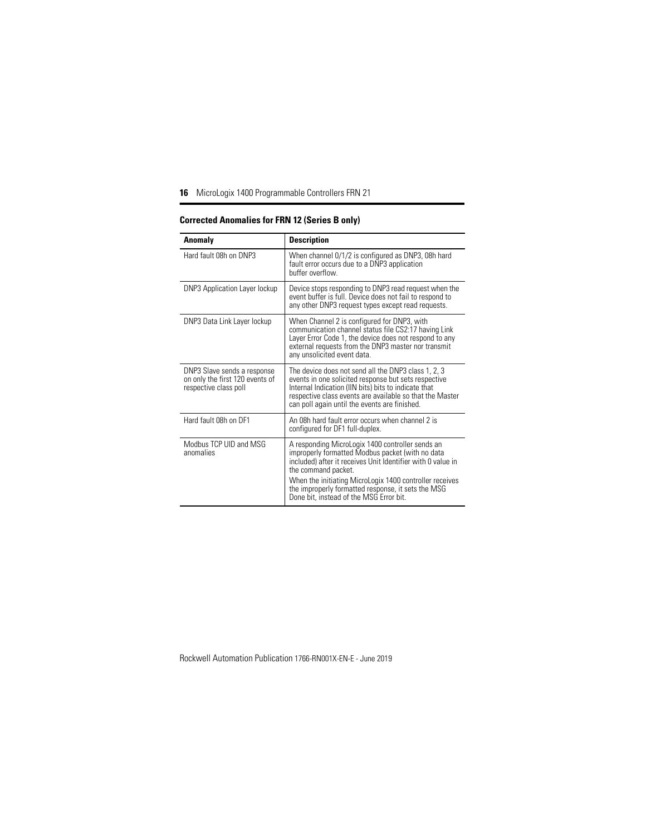| Anomaly                                                                                 | <b>Description</b>                                                                                                                                                                                                                                                                                                                                     |
|-----------------------------------------------------------------------------------------|--------------------------------------------------------------------------------------------------------------------------------------------------------------------------------------------------------------------------------------------------------------------------------------------------------------------------------------------------------|
| Hard fault 08h on DNP3                                                                  | When channel 0/1/2 is configured as DNP3, 08h hard<br>fault error occurs due to a DNP3 application<br>buffer overflow.                                                                                                                                                                                                                                 |
| DNP3 Application Layer lockup                                                           | Device stops responding to DNP3 read request when the<br>event buffer is full. Device does not fail to respond to<br>any other DNP3 request types except read requests.                                                                                                                                                                                |
| DNP3 Data Link Layer lockup                                                             | When Channel 2 is configured for DNP3, with<br>communication channel status file CS2:17 having Link<br>Layer Error Code 1, the device does not respond to any<br>external requests from the DNP3 master nor transmit<br>any unsolicited event data.                                                                                                    |
| DNP3 Slave sends a response<br>on only the first 120 events of<br>respective class poll | The device does not send all the DNP3 class 1, 2, 3<br>events in one solicited response but sets respective<br>Internal Indication (IIN bits) bits to indicate that<br>respective class events are available so that the Master<br>can poll again until the events are finished.                                                                       |
| Hard fault 08h on DF1                                                                   | An 08h hard fault error occurs when channel 2 is<br>configured for DF1 full-duplex.                                                                                                                                                                                                                                                                    |
| Modbus TCP UID and MSG<br>anomalies                                                     | A responding MicroLogix 1400 controller sends an<br>improperly formatted Modbus packet (with no data<br>included) after it receives Unit Identifier with 0 value in<br>the command packet.<br>When the initiating MicroLogix 1400 controller receives<br>the improperly formatted response, it sets the MSG<br>Done bit, instead of the MSG Error bit. |

### **Corrected Anomalies for FRN 12 (Series B only)**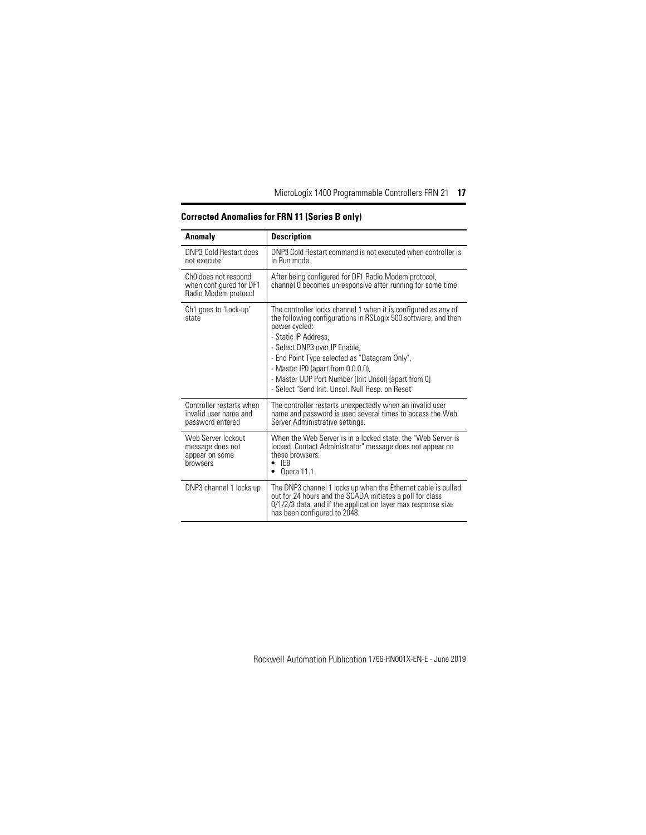| Anomaly                                                                 | <b>Description</b>                                                                                                                                                                                                                                                                                                                                                                                            |
|-------------------------------------------------------------------------|---------------------------------------------------------------------------------------------------------------------------------------------------------------------------------------------------------------------------------------------------------------------------------------------------------------------------------------------------------------------------------------------------------------|
| DNP3 Cold Restart does<br>not execute                                   | DNP3 Cold Restart command is not executed when controller is<br>in Run mode.                                                                                                                                                                                                                                                                                                                                  |
| ChO does not respond<br>when configured for DF1<br>Radio Modem protocol | After being configured for DF1 Radio Modem protocol,<br>channel 0 becomes unresponsive after running for some time.                                                                                                                                                                                                                                                                                           |
| Ch1 goes to 'Lock-up'<br>state                                          | The controller locks channel 1 when it is configured as any of<br>the following configurations in RSLogix 500 software, and then<br>power cycled:<br>- Static IP Address.<br>- Select DNP3 over IP Enable.<br>- End Point Type selected as "Datagram Only",<br>- Master IPO (apart from 0.0.0.0),<br>- Master UDP Port Number (Init Unsol) [apart from 0]<br>- Select "Send Init. Unsol. Null Resp. on Reset" |
| Controller restarts when<br>invalid user name and<br>password entered   | The controller restarts unexpectedly when an invalid user<br>name and password is used several times to access the Web<br>Server Administrative settings.                                                                                                                                                                                                                                                     |
| Web Server lockout<br>message does not<br>appear on some<br>browsers    | When the Web Server is in a locked state, the "Web Server is<br>locked. Contact Administrator" message does not appear on<br>these browsers:<br>IF <sub>8</sub><br>Opera 11.1                                                                                                                                                                                                                                 |
| DNP3 channel 1 locks up                                                 | The DNP3 channel 1 locks up when the Ethernet cable is pulled<br>out for 24 hours and the SCADA initiates a poll for class<br>$0/1/2/3$ data, and if the application layer max response size<br>has been configured to 2048.                                                                                                                                                                                  |

### **Corrected Anomalies for FRN 11 (Series B only)**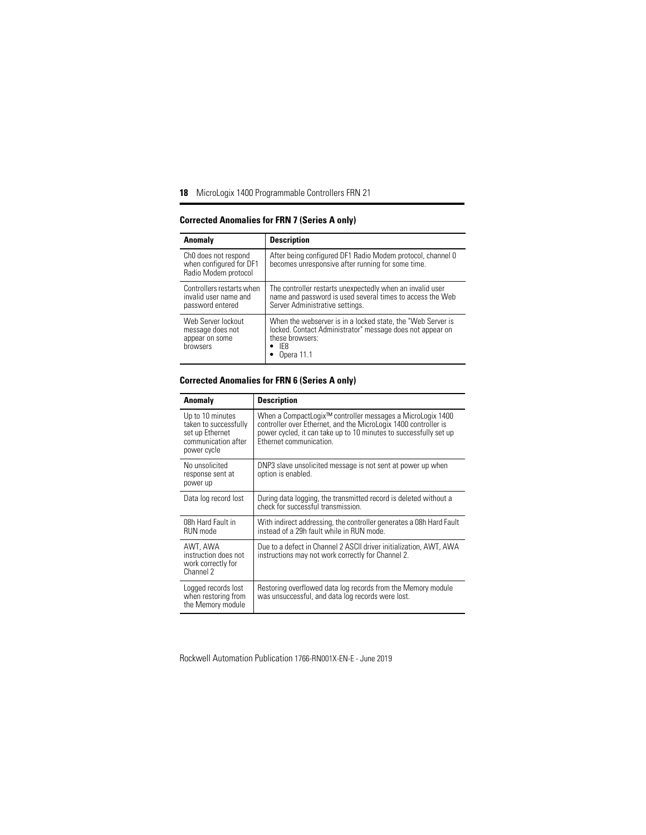| Anomaly                                                                 | <b>Description</b>                                                                                                                                               |
|-------------------------------------------------------------------------|------------------------------------------------------------------------------------------------------------------------------------------------------------------|
| ChO does not respond<br>when configured for DF1<br>Radio Modem protocol | After being configured DF1 Radio Modem protocol, channel 0<br>becomes unresponsive after running for some time.                                                  |
| Controllers restarts when<br>invalid user name and<br>password entered  | The controller restarts unexpectedly when an invalid user<br>name and password is used several times to access the Web<br>Server Administrative settings.        |
| Web Server lockout<br>message does not<br>appear on some<br>browsers    | When the webserver is in a locked state, the "Web Server is<br>locked. Contact Administrator" message does not appear on<br>these browsers:<br>IE8<br>Opera 11.1 |

#### **Corrected Anomalies for FRN 7 (Series A only)**

#### **Corrected Anomalies for FRN 6 (Series A only)**

| Anomaly                                                                                            | <b>Description</b>                                                                                                                                                                                                            |
|----------------------------------------------------------------------------------------------------|-------------------------------------------------------------------------------------------------------------------------------------------------------------------------------------------------------------------------------|
| Up to 10 minutes<br>taken to successfully<br>set up Ethernet<br>communication after<br>power cycle | When a CompactLogix™ controller messages a MicroLogix 1400<br>controller over Ethernet, and the MicroLogix 1400 controller is<br>power cycled, it can take up to 10 minutes to successfully set up<br>Ethernet communication. |
| No unsolicited<br>response sent at<br>power up                                                     | DNP3 slave unsolicited message is not sent at power up when<br>option is enabled.                                                                                                                                             |
| Data log record lost                                                                               | During data logging, the transmitted record is deleted without a<br>check for successful transmission.                                                                                                                        |
| 08h Hard Fault in<br>RUN mode                                                                      | With indirect addressing, the controller generates a 08h Hard Fault<br>instead of a 29h fault while in RUN mode.                                                                                                              |
| AWT, AWA<br>instruction does not<br>work correctly for<br>Channel 2                                | Due to a defect in Channel 2 ASCII driver initialization, AWT, AWA<br>instructions may not work correctly for Channel 2.                                                                                                      |
| Logged records lost<br>when restoring from<br>the Memory module                                    | Restoring overflowed data log records from the Memory module<br>was unsuccessful, and data log records were lost.                                                                                                             |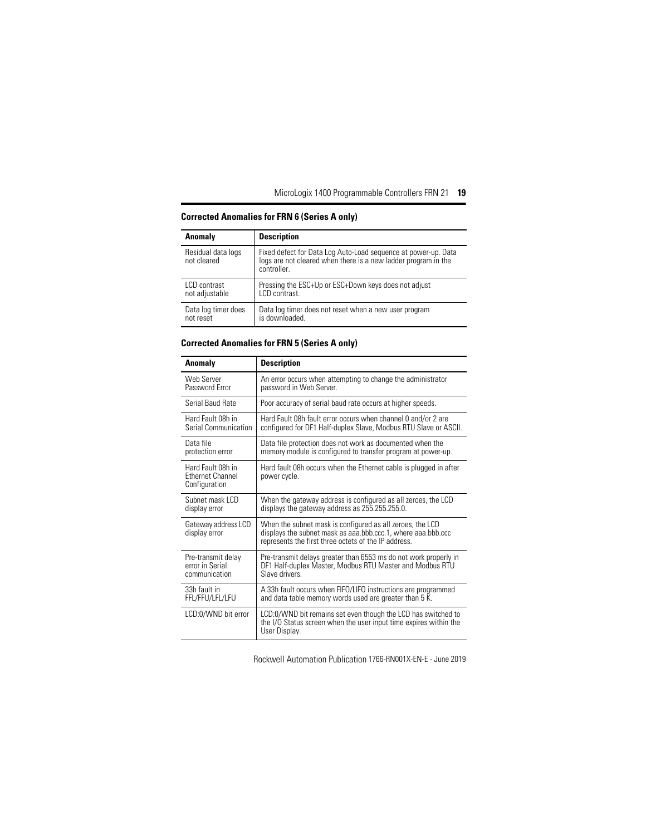| Anomaly                           | <b>Description</b>                                                                                                                              |
|-----------------------------------|-------------------------------------------------------------------------------------------------------------------------------------------------|
| Residual data logs<br>not cleared | Fixed defect for Data Log Auto-Load sequence at power-up. Data<br>logs are not cleared when there is a new ladder program in the<br>controller. |
| LCD contrast                      | Pressing the ESC+Up or ESC+Down keys does not adjust                                                                                            |
| not adjustable                    | LCD contrast.                                                                                                                                   |
| Data log timer does               | Data log timer does not reset when a new user program                                                                                           |
| not reset                         | is downloaded.                                                                                                                                  |

#### **Corrected Anomalies for FRN 6 (Series A only)**

#### **Corrected Anomalies for FRN 5 (Series A only)**

| Anomaly                                                       | <b>Description</b>                                                                                                                                                                |
|---------------------------------------------------------------|-----------------------------------------------------------------------------------------------------------------------------------------------------------------------------------|
| Web Server                                                    | An error occurs when attempting to change the administrator                                                                                                                       |
| Password Error                                                | password in Web Server.                                                                                                                                                           |
| Serial Baud Rate                                              | Poor accuracy of serial baud rate occurs at higher speeds.                                                                                                                        |
| Hard Fault 08h in                                             | Hard Fault 08h fault error occurs when channel 0 and/or 2 are                                                                                                                     |
| Serial Communication                                          | configured for DF1 Half-duplex Slave, Modbus RTU Slave or ASCII.                                                                                                                  |
| Data file                                                     | Data file protection does not work as documented when the                                                                                                                         |
| protection error                                              | memory module is configured to transfer program at power-up.                                                                                                                      |
| Hard Fault 08h in<br><b>Ethernet Channel</b><br>Configuration | Hard fault 08h occurs when the Ethernet cable is plugged in after<br>power cycle.                                                                                                 |
| Subnet mask LCD                                               | When the gateway address is configured as all zeroes, the LCD                                                                                                                     |
| display error                                                 | displays the gateway address as 255.255.255.0.                                                                                                                                    |
| Gateway address LCD<br>display error                          | When the subnet mask is configured as all zeroes, the LCD<br>displays the subnet mask as aaa.bbb.ccc.1, where aaa.bbb.ccc<br>represents the first three octets of the IP address. |
| Pre-transmit delay                                            | Pre-transmit delays greater than 6553 ms do not work properly in                                                                                                                  |
| error in Serial                                               | DF1 Half-duplex Master, Modbus RTU Master and Modbus RTU                                                                                                                          |
| communication                                                 | Slave drivers                                                                                                                                                                     |
| 33h fault in                                                  | A 33h fault occurs when FIFO/LIFO instructions are programmed                                                                                                                     |
| FFL/FFU/LFL/LFU                                               | and data table memory words used are greater than 5 K.                                                                                                                            |
| LCD:0/WND bit error                                           | LCD:0/WND bit remains set even though the LCD has switched to<br>the I/O Status screen when the user input time expires within the<br>User Display.                               |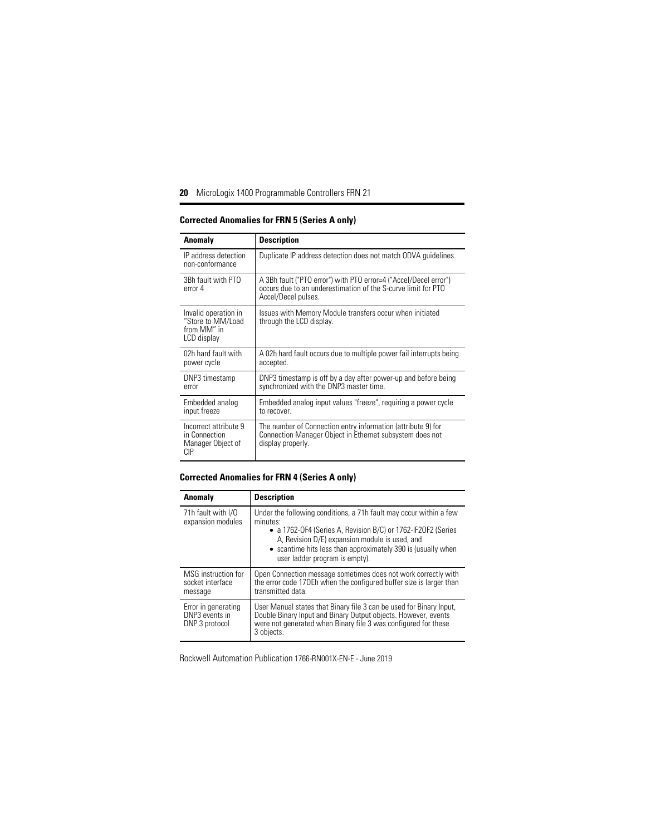| Anomaly                                                                 | <b>Description</b>                                                                                                                                       |
|-------------------------------------------------------------------------|----------------------------------------------------------------------------------------------------------------------------------------------------------|
| IP address detection<br>non-conformance                                 | Duplicate IP address detection does not match ODVA quidelines.                                                                                           |
| 3Bh fault with PTO<br>error 4                                           | A 3Bh fault ("PTO error") with PTO error=4 ("Accel/Decel error")<br>occurs due to an underestimation of the S-curve limit for PTO<br>Accel/Decel pulses. |
| Invalid operation in<br>"Store to MM/Load<br>from MM" in<br>LCD display | Issues with Memory Module transfers occur when initiated<br>through the LCD display.                                                                     |
| 02h hard fault with<br>power cycle                                      | A 02h hard fault occurs due to multiple power fail interrupts being<br>accepted.                                                                         |
| DNP3 timestamp<br>error                                                 | DNP3 timestamp is off by a day after power-up and before being<br>synchronized with the DNP3 master time.                                                |
| Embedded analog<br>input freeze                                         | Embedded analog input values "freeze", requiring a power cycle<br>to recover.                                                                            |
| Incorrect attribute 9<br>in Connection<br>Manager Object of<br>СIР      | The number of Connection entry information (attribute 9) for<br>Connection Manager Object in Ethernet subsystem does not<br>display properly.            |

#### **Corrected Anomalies for FRN 5 (Series A only)**

### **Corrected Anomalies for FRN 4 (Series A only)**

| <b>Anomaly</b>                                          | <b>Description</b>                                                                                                                                                                                                                                                                                 |
|---------------------------------------------------------|----------------------------------------------------------------------------------------------------------------------------------------------------------------------------------------------------------------------------------------------------------------------------------------------------|
| 71h fault with I/O<br>expansion modules                 | Under the following conditions, a 71h fault may occur within a few<br>minutes:<br>• a 1762-OF4 (Series A, Revision B/C) or 1762-IF2OF2 (Series<br>A, Revision D/E) expansion module is used, and<br>• scantime hits less than approximately 390 is (usually when<br>user ladder program is empty). |
| MSG instruction for<br>socket interface<br>message      | Open Connection message sometimes does not work correctly with<br>the error code 17DEh when the configured buffer size is larger than<br>transmitted data.                                                                                                                                         |
| Error in generating<br>DNP3 events in<br>DNP 3 protocol | User Manual states that Binary file 3 can be used for Binary Input,<br>Double Binary Input and Binary Output objects. However, events<br>were not generated when Binary file 3 was configured for these<br>3 objects.                                                                              |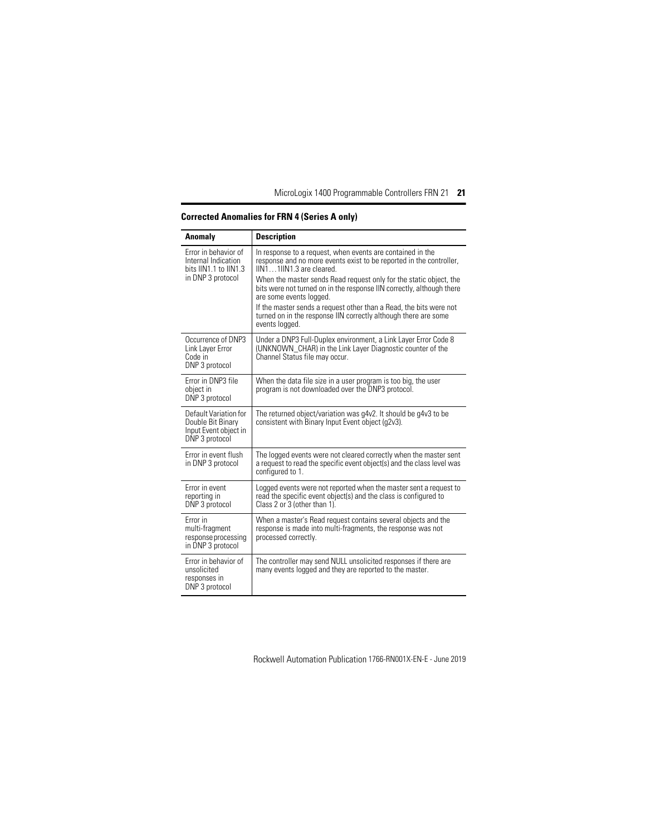| Anomaly                                                                                   | <b>Description</b>                                                                                                                                                                                                                                                                                                                                                                                                                                                                                 |
|-------------------------------------------------------------------------------------------|----------------------------------------------------------------------------------------------------------------------------------------------------------------------------------------------------------------------------------------------------------------------------------------------------------------------------------------------------------------------------------------------------------------------------------------------------------------------------------------------------|
| Error in behavior of<br>Internal Indication<br>bits IIN1.1 to IIN1.3<br>in DNP 3 protocol | In response to a request, when events are contained in the<br>response and no more events exist to be reported in the controller,<br>IIN11IIN1.3 are cleared.<br>When the master sends Read request only for the static object, the<br>bits were not turned on in the response IIN correctly, although there<br>are some events logged.<br>If the master sends a request other than a Read, the bits were not<br>turned on in the response IIN correctly although there are some<br>events logged. |
| Occurrence of DNP3<br>Link Layer Error<br>Code in<br>DNP 3 protocol                       | Under a DNP3 Full-Duplex environment, a Link Layer Error Code 8<br>(UNKNOWN_CHAR) in the Link Layer Diagnostic counter of the<br>Channel Status file may occur.                                                                                                                                                                                                                                                                                                                                    |
| Error in DNP3 file<br>object in<br>DNP 3 protocol                                         | When the data file size in a user program is too big, the user<br>program is not downloaded over the DNP3 protocol.                                                                                                                                                                                                                                                                                                                                                                                |
| Default Variation for<br>Double Bit Binary<br>Input Event object in<br>DNP 3 protocol     | The returned object/variation was g4v2. It should be g4v3 to be<br>consistent with Binary Input Event object (q2v3).                                                                                                                                                                                                                                                                                                                                                                               |
| Error in event flush<br>in DNP 3 protocol                                                 | The logged events were not cleared correctly when the master sent<br>a request to read the specific event object(s) and the class level was<br>configured to 1.                                                                                                                                                                                                                                                                                                                                    |
| Error in event<br>reporting in<br>DNP 3 protocol                                          | Logged events were not reported when the master sent a reguest to<br>read the specific event object(s) and the class is configured to<br>Class 2 or 3 (other than 1).                                                                                                                                                                                                                                                                                                                              |
| Error in<br>multi-fragment<br>response processing<br>in DNP 3 protocol                    | When a master's Read request contains several objects and the<br>response is made into multi-fragments, the response was not<br>processed correctly.                                                                                                                                                                                                                                                                                                                                               |
| Error in behavior of<br>unsolicited<br>responses in<br>DNP 3 protocol                     | The controller may send NULL unsolicited responses if there are<br>many events logged and they are reported to the master.                                                                                                                                                                                                                                                                                                                                                                         |

# **Corrected Anomalies for FRN 4 (Series A only)**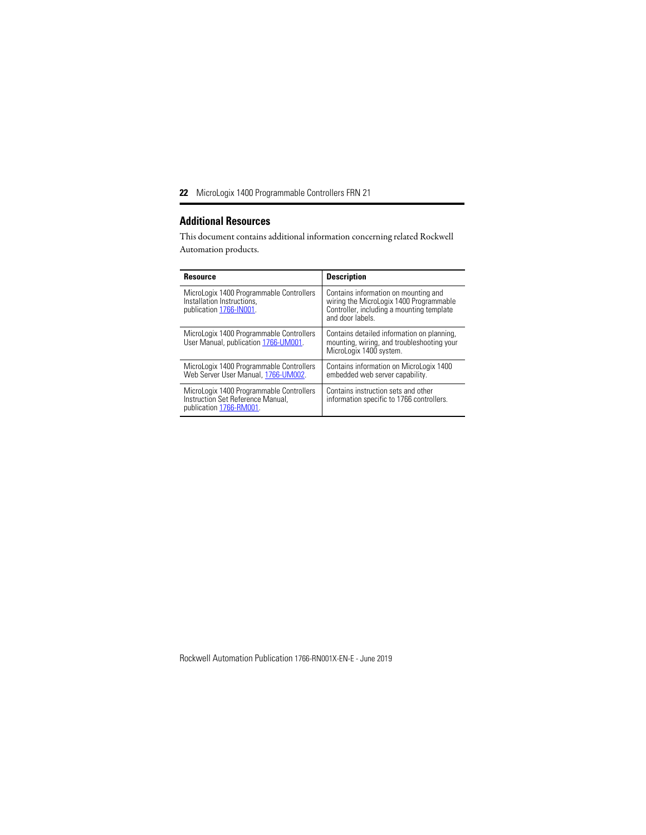# <span id="page-21-0"></span>**Additional Resources**

This document contains additional information concerning related Rockwell Automation products.

| <b>Resource</b>                                                                                          | <b>Description</b>                                                                                                                               |
|----------------------------------------------------------------------------------------------------------|--------------------------------------------------------------------------------------------------------------------------------------------------|
| MicroLogix 1400 Programmable Controllers<br>Installation Instructions.<br>publication 1766-IN001.        | Contains information on mounting and<br>wiring the MicroLogix 1400 Programmable<br>Controller, including a mounting template<br>and door labels. |
| MicroLogix 1400 Programmable Controllers<br>User Manual, publication 1766-UM001.                         | Contains detailed information on planning,<br>mounting, wiring, and troubleshooting your<br>MicroLogix 1400 system.                              |
| MicroLogix 1400 Programmable Controllers<br>Web Server User Manual, 1766-UM002.                          | Contains information on MicroLogix 1400<br>embedded web server capability.                                                                       |
| MicroLogix 1400 Programmable Controllers<br>Instruction Set Reference Manual,<br>publication 1766-RM001. | Contains instruction sets and other<br>information specific to 1766 controllers.                                                                 |